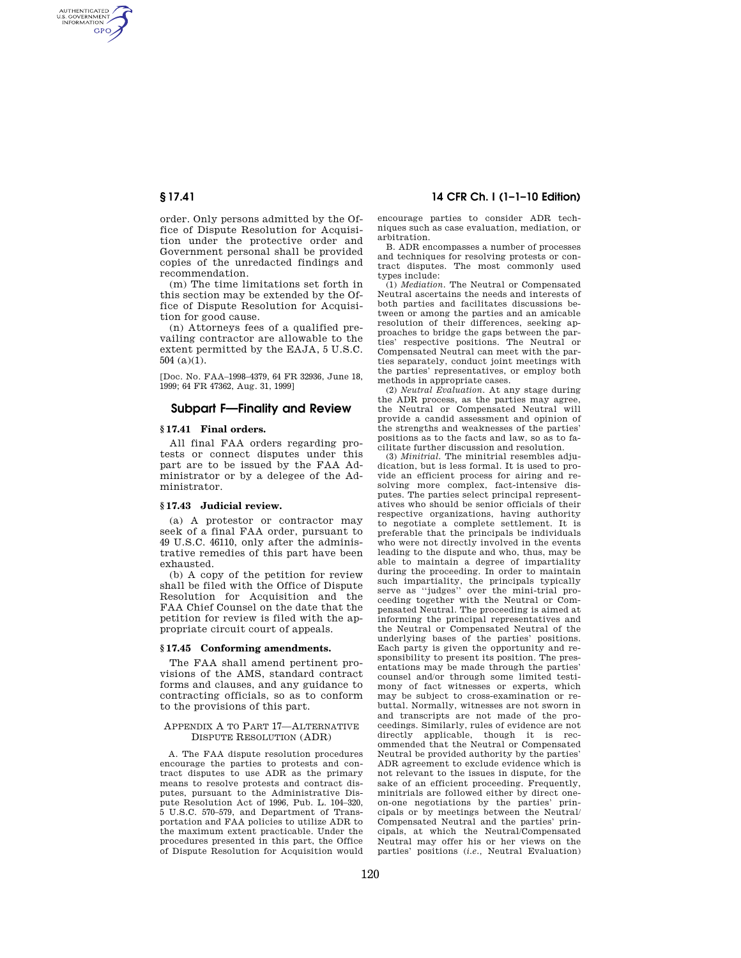AUTHENTICATED<br>U.S. GOVERNMENT<br>INFORMATION **GPO** 

> order. Only persons admitted by the Office of Dispute Resolution for Acquisition under the protective order and Government personal shall be provided copies of the unredacted findings and recommendation.

> (m) The time limitations set forth in this section may be extended by the Office of Dispute Resolution for Acquisition for good cause.

> (n) Attorneys fees of a qualified prevailing contractor are allowable to the extent permitted by the EAJA, 5 U.S.C. 504 (a)(1).

[Doc. No. FAA–1998–4379, 64 FR 32936, June 18, 1999; 64 FR 47362, Aug. 31, 1999]

## **Subpart F—Finality and Review**

#### **§ 17.41 Final orders.**

All final FAA orders regarding protests or connect disputes under this part are to be issued by the FAA Administrator or by a delegee of the Administrator.

#### **§ 17.43 Judicial review.**

(a) A protestor or contractor may seek of a final FAA order, pursuant to 49 U.S.C. 46110, only after the administrative remedies of this part have been exhausted.

(b) A copy of the petition for review shall be filed with the Office of Dispute Resolution for Acquisition and the FAA Chief Counsel on the date that the petition for review is filed with the appropriate circuit court of appeals.

#### **§ 17.45 Conforming amendments.**

The FAA shall amend pertinent provisions of the AMS, standard contract forms and clauses, and any guidance to contracting officials, so as to conform to the provisions of this part.

### APPENDIX A TO PART 17—ALTERNATIVE DISPUTE RESOLUTION (ADR)

A. The FAA dispute resolution procedures encourage the parties to protests and contract disputes to use ADR as the primary means to resolve protests and contract disputes, pursuant to the Administrative Dispute Resolution Act of 1996, Pub. L. 104–320, 5 U.S.C. 570–579, and Department of Transportation and FAA policies to utilize ADR to the maximum extent practicable. Under the procedures presented in this part, the Office of Dispute Resolution for Acquisition would

**§ 17.41 14 CFR Ch. I (1–1–10 Edition)** 

encourage parties to consider ADR techniques such as case evaluation, mediation, or arbitration.

B. ADR encompasses a number of processes and techniques for resolving protests or contract disputes. The most commonly used types include:

(1) *Mediation.* The Neutral or Compensated Neutral ascertains the needs and interests of both parties and facilitates discussions between or among the parties and an amicable resolution of their differences, seeking approaches to bridge the gaps between the parties' respective positions. The Neutral or Compensated Neutral can meet with the parties separately, conduct joint meetings with the parties' representatives, or employ both methods in appropriate cases.

(2) *Neutral Evaluation.* At any stage during the ADR process, as the parties may agree, the Neutral or Compensated Neutral will provide a candid assessment and opinion of the strengths and weaknesses of the parties' positions as to the facts and law, so as to facilitate further discussion and resolution.

(3) *Minitrial.* The minitrial resembles adjudication, but is less formal. It is used to provide an efficient process for airing and resolving more complex, fact-intensive disputes. The parties select principal representatives who should be senior officials of their respective organizations, having authority to negotiate a complete settlement. It is preferable that the principals be individuals who were not directly involved in the events leading to the dispute and who, thus, may be able to maintain a degree of impartiality during the proceeding. In order to maintain such impartiality, the principals typically serve as ''judges'' over the mini-trial proceeding together with the Neutral or Compensated Neutral. The proceeding is aimed at informing the principal representatives and the Neutral or Compensated Neutral of the underlying bases of the parties' positions. Each party is given the opportunity and responsibility to present its position. The presentations may be made through the parties' counsel and/or through some limited testimony of fact witnesses or experts, which may be subject to cross-examination or rebuttal. Normally, witnesses are not sworn in and transcripts are not made of the proceedings. Similarly, rules of evidence are not applicable, though it is recommended that the Neutral or Compensated Neutral be provided authority by the parties' ADR agreement to exclude evidence which is not relevant to the issues in dispute, for the sake of an efficient proceeding. Frequently, minitrials are followed either by direct oneon-one negotiations by the parties' principals or by meetings between the Neutral/ Compensated Neutral and the parties' principals, at which the Neutral/Compensated Neutral may offer his or her views on the parties' positions (*i.e.,* Neutral Evaluation)